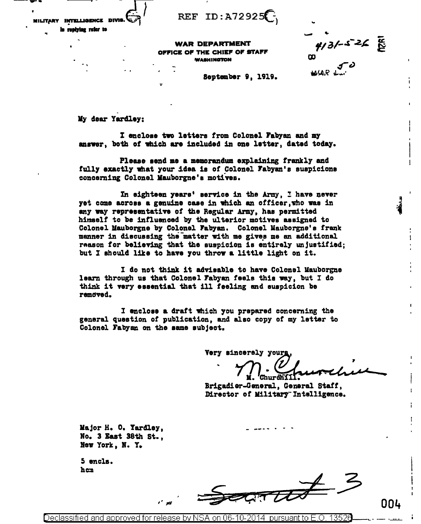REF ID:  $A72925$ 

Military intelligence divis

In replying reter to

**WAR DEPARTMENT** OFFICE OF THE CHIEF OF STAFF WASHINGTON

 $4/3/-5=26$   $\frac{2}{10}$ <br>00<br>W/AR dari

September 9, 1919.

My dear Yardley:

I enclose two letters from Colonel Fabyan and my answer, both of which are included in one letter, dated today.

Please send me a memorandum explaining frankly and fully exactly what your idea is of Colonel Fabyan's suspicions concerning Colonel Mauborgne's motives.

In eighteen years' service in the Army, I have never yet come across a genuine case in which an officer, who was in any way representative of the Regular Army, has permitted himself to be influenced by the ulterior motives assigned to Colonel Mauborgne by Colonel Fabyan. Colonel Mauborgne's frank manner in discussing the matter with me gives me an additional reason for believing that the suspicion is entirely unjustified; but I should like to have you throw a little light on it.

I do not think it advisable to have Colonel Mauborgne learn through us that Colonel Fabyan feels this way, but I do think it very essential that ill feeling and suspicion be removed.

I enclose a draft which you prepared concerning the general question of publication, and also copy of my letter to Colonel Fabyan on the same subject.

Very sincerely yours

Churdîí

Brigadier-General, General Staff, Director of Military Intelligence.

Major H. O. Yardley, No. 3 East 38th St., New York, N.Y.

5 encls. hen

 $\frac{1}{\sqrt{1-\frac{1}{2}}}$  2

Declassified and approved for release by NSA on 06-10-2014 pursuant to E.O. 13526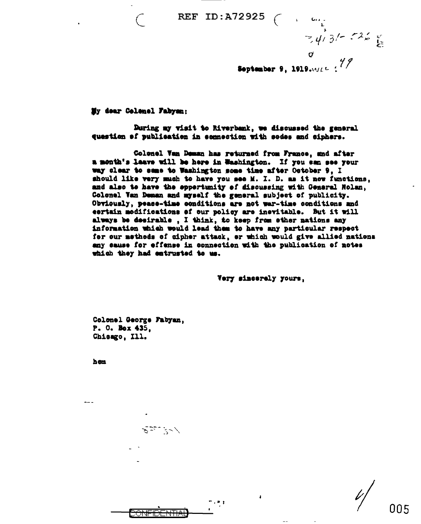REF ID: A72925

 $=$   $\frac{1}{4}$ ,  $\frac{3}{5}$ ,  $\frac{12}{5}$ 

September 9, 1919.  $M = \frac{4}{7}$ 

My dear Colenel Fabyan:

During my visit to Riverbank, we discussed the general question of publication in connection with sodes and ciphers.

Colonel Van Deman has returned from France, and after a month's laave will be here in Washington. If you can see your way clear to same to Washington some time mfter October 9, I should like very much to have you see M. I. D. as it now functions, and also to have the oppertunity of discussing with General Nolan. Colonel Van Deman and myself the general subject of publicity. Obviously, pease-time conditions are not war-time conditions and certain modifications of our policy are inevitable. But it will always be desirable, I think, to keep from ether nations any information which would lead them to have any particular respect for our methods of cipher attack, or which would give allied nations any sause for effense in connection with the publication of notes which they had entrusted to us.

Very sincerely yours,

Colonel George Fabyan. P. O. Box 435. Chicago, Ill.

كرسائي يدينته يحرجه

 $\mathbb{R}$  ,  $\mathbb{R}$  ,  $\mathbb{R}$ 

hon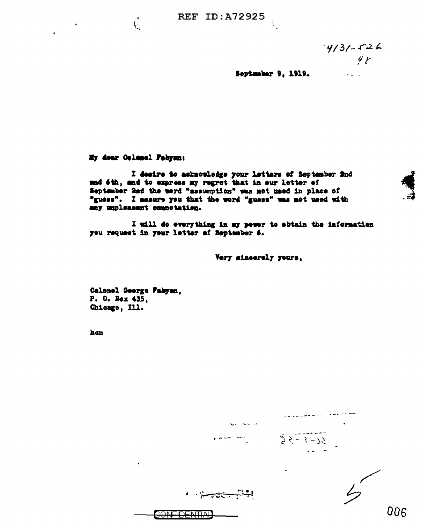$4/31 - 526$  $48$ 

 $\mathbf{r}^{(1)}_{\mathbf{u}}$  ,  $\mathbf{r}^{(2)}_{\mathbf{u}}$ 

September 9, 1919.

 $\left($ 

My dear Oclosel Fabyan:

 $\hat{\zeta}$ 

 $\mathbf{r}$ 

 $\blacktriangleleft$ 

I desire to asknowledge your letters of September 2nd and 6th, and to axpress my regret that in our letter of September 2nd the werd "assumption" was not used in place of "guess". I assure you that the word "guess" was not used with any unpleasant connetation.

I will do everything in my pewer to abtain the information you request in your letter of September 6.

Very sincerely yours,

Calenel George Fabyan, P. O. Bex 435, Chicago, Ill.

han

| $\sim$ $\sim$ $-4$<br>دما |               |
|---------------------------|---------------|
|                           | $95 - 3 - 75$ |
|                           | -             |
|                           |               |
|                           | 006           |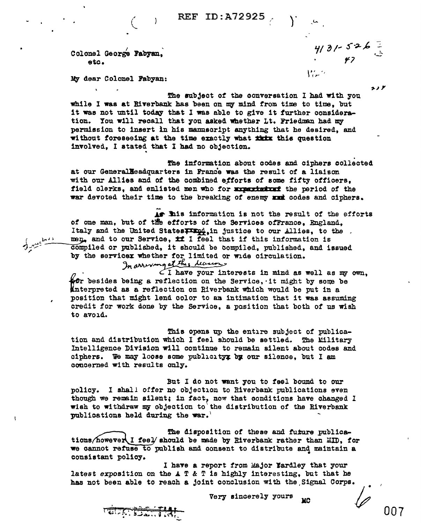Colonel George Fabyan. etc.

 $\lambda$ 

 $4131 - 526 =$  $W_{\rm eff}$ 

 $2.1<sup>F</sup>$ 

My dear Colonel Fabyan:

The subject of the conversation I had with you while I was at Riverbank has been on my mind from time to time, but it was not until today that I was able to give it further consideration. You will recall that you asked whether Lt. Friedman had my permission to insert in his mannscript anything that he desired, and without foreseeing at the time exactly what thix this question involved, I stated that I had no objection.

The information about codes and ciphers collected at our Generalleadquarters in France was the result of a liaison with our Allies and of the combined efforts of some fifty officers. field clerks, and enlisted men who for appartment the period of the war devoted their time to the breaking of enemy must codes and ciphers.

As his information is not the result of the efforts of one man, but of the efforts of the Services ofFrance, England, Italy and the United States wind, in justice to our Allies, to the men, and to our Service, if I feel that if this information is compiled or published, it should be compiled, published, and issued

by the servicex whether for limited or wide circulation.<br>In announced this *liquids* Aft besides being a reflection on the Service, it might by some be Anterpreted as a reflection on Riverbank which would be put in a position that might lend color to an intimation that it was assuming credit for work done by the Service, a position that both of us wish to avoid.

This opens up the entire subject of publication and distribution which I feel should be settled. The Military Intelligence Division will continue to remain silent about codes and ciphers. We may loose some publicity by our silence, but I am concerned with results only.

But I do not want you to feel bound to our policy. I shall offer no objection to Riverbank publications even though we remain silent; in fact, now that conditions have changed I wish to withdraw my objection to the distribution of the Riverbank publications held during the war.'

The disposition of these and future publications/however I feel should be made by Riverbank rather than MID. for we cannot refuse to publish and consent to distribute and maintain a consistant policy.

I have a report from Major Nardley that your latest exposition on the  $A \nsubseteq \& \nsubseteq$  is highly interesting, but that he has not been able to reach a joint conclusion with the Signal Corps.

> Very sincerely yours **MC**

THE SEARCH

 $\mathbf{I}$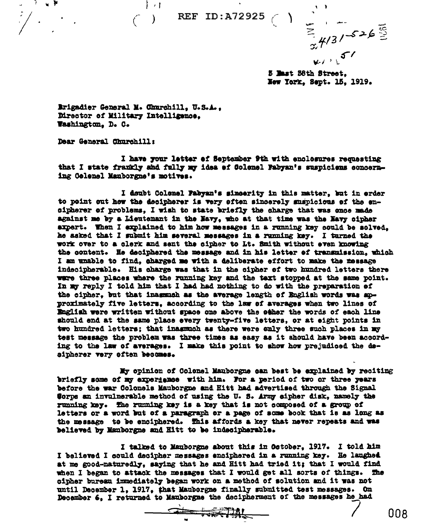**REF ID:A72925**  $\left(\begin{array}{c} 1 \end{array}\right)$ 

 $\frac{1}{x}$  4/3/-526  $k$ 

5 Mast 38th Street. New York. Sept. 15. 1919.

Brigadier General M. Churchill, U.S.A., Director of Military Intelligence. Washington. D. C.

 $\left\vert \rightarrow\right\vert$ 

Dear General Churchill:

ੀ ਘੁ¥

 $\omega$ 

I have your letter of September 9th with enclosures requesting that I state framily and fully my idea of Colemel Fabyan's suspicions concerning Colonal Manborgne's motives.

I doubt Colonel Fabyan's sineerity in this matter, but in erder to point out how the decipherer is very often sincerely suspicious of the encipherer of problems. I wish to state briefly the charge that was once made against me by a Lieutenant in the Navy, who at that time was the Navy cipher expert. Then I explained to him how messages in a running key could be solved. he asked that I submit him several messages in a running key. I turned the work over to a clerk and sent the cipher to Lt. Smith without even knowing the content. He deciphered the message and in his letter of transmission, which I am unable to find, charged me with a deliberate effort to make the message indecipherable. His charge was that in the cipher of two hundred letters there were three places where the running key and the text stopped at the same point. In my reply I told him that I had had nothing to do with the preparation of the cipher, but that inaggment as the average length of English words was approximately five letters, according to the law of averages when two lines of English were written without space one above the other the words of each line should end at the same place every twenty-five letters, or at eight points in two hundred letters; that inasmuch as there were only three such places in my test message the problem was three times as easy as it should have been according to the law of averages. I make this point to show how prejudiced the desipherer very often becomes.

My opinion of Colonel Manborgne can best be explained by reciting briefly some of my experience with him. For a period of two or three years before the war Colonels Mauborgne and Hitt had advertised through the Signal Sorps an invulnerable method of using the U.S. Army sipher disk, namely the running key. The running key is a key that is not composed of a group of letters or a word but of a paragraph or a page of some book that is as long as the message to be enciphered. This affords a key that never repeats and was believed by Manborgne and Hitt to be indecipherable.

I talked to Manborgne about this in Ostober, 1917. I told him I believed I could decipher messages enciphered in a running key. He laughed at me good-naturedly, saying that he and Hitt had tried it; that I would find when I began to attack the messages that I would get all sorts of things. **The** cipher bureau immediately began work on a method of solution and it was not until December 1, 1917, that Mauborgne finally submitted test messages. On December 6, I returned to Mauborgne the decipherment of the messages he had

 $\frac{1}{\sqrt{1-\frac{1}{\sqrt{1-\frac{1}{\sqrt{1-\frac{1}{\sqrt{1-\frac{1}{\sqrt{1-\frac{1}{\sqrt{1-\frac{1}{\sqrt{1-\frac{1}{\sqrt{1-\frac{1}{\sqrt{1-\frac{1}{\sqrt{1-\frac{1}{\sqrt{1-\frac{1}{\sqrt{1-\frac{1}{\sqrt{1-\frac{1}{\sqrt{1-\frac{1}{\sqrt{1-\frac{1}{\sqrt{1-\frac{1}{\sqrt{1-\frac{1}{\sqrt{1-\frac{1}{\sqrt{1+\frac{1}{\sqrt{1-\frac{1}{\sqrt{1+\frac{1}{\sqrt{1+\frac{1}{\sqrt{1+\frac{1}{\sqrt{1+\frac{1$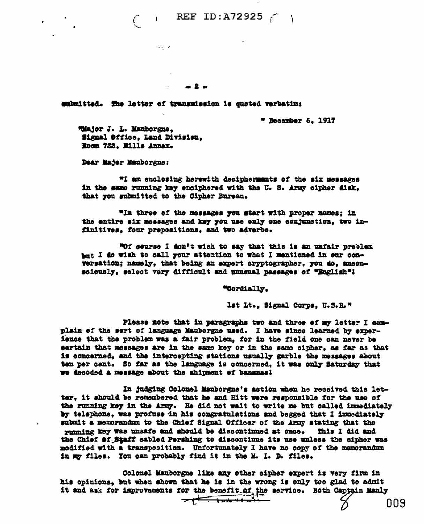$( )$  REF ID:A72925  $( )$ 

 $-2-$ 

submitted. The letter of transmission is quoted verbatim:

 $\omega_{\rm{max}}$  ,  $\omega_{\rm{max}}$ 

 $*$  Becember 6. 1917

Wiajor J. L. Mauborsme. Signal Office, Land Division. Room 722, Mills Annex.

Dear Major Mauborgne:

"I am enclosing herewith deciphermunts of the six messages in the same running key enciphered with the U.S. Army cipher disk. that you submitted to the Cipher Bureau.

"In three of the messages you start with proper names; in the entire six messages and key you use enly one conjunction, two infinitives, four prepositions, and two adverbs.

"Of course I don't wish to say that this is an unfair problem but I do wish to call your attention to what I mentioned in our conversation; namely, that being an expert cryptographer, you do, unconsciously, select very difficult and unusual passages of "English"!

"Cordially.

lst Lt., Signal Corps, U.S.R."

009

Please note that in paragraphs two and three of my letter I complain of the sert of language Manborgne used. I have since learned by experience that the problem was a fair problem, for in the field one can never be certain that messages are in the same key or in the same cipher. as far as that is concerned, and the intercepting stations usually garble the messages about ten per cent. So far as the language is concerned, it was only Saturday that we decoded a message about the shipment of bananasi

In judging Colonel Manborgne's action when he received this letter, it should be remembered that he and Hitt were responsible for the use of the running key in the Army. He did not wait to write me but called immediately by telephone, was profuse in his congratulations and begged that I inmediately submit a memorandum to the Chief Signal Officer of the Army stating that the running key was unsafe and should be discontinued at once. This I did and the Chief \$f.Staff cabled Pershing to discontinue its use unless the cipher was modified with a transposition. Unfortunately I have no copy of the memorandum in my files. You can probably find it in the M. I. D. files.

Colonel Mauborgne like any other cipher expert is very firm in his opinions, but when shown that he is in the wrong is only too glad to admit it and ask for improvements for the benefit of the service. Both Captain Manly  $\frac{1}{\sqrt{1-\frac{1}{2}}\sqrt{1-\frac{1}{2}}\sqrt{1-\frac{1}{2}}\sqrt{1-\frac{1}{2}}\sqrt{1-\frac{1}{2}}\sqrt{1-\frac{1}{2}}\sqrt{1-\frac{1}{2}}\sqrt{1-\frac{1}{2}}\sqrt{1-\frac{1}{2}}\sqrt{1-\frac{1}{2}}\sqrt{1-\frac{1}{2}}\sqrt{1-\frac{1}{2}}\sqrt{1-\frac{1}{2}}\sqrt{1-\frac{1}{2}}\sqrt{1-\frac{1}{2}}\sqrt{1-\frac{1}{2}}\sqrt{1-\frac{1}{2}}\sqrt{1-\frac{1}{2}}\sqrt{1-\frac{1}{2}}\sqrt{1-\frac$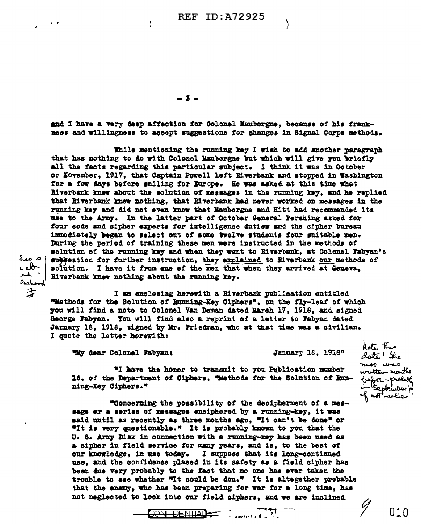**REF ID: A72925** 

 $-5 -$ 

and I have a very deep affection for Colonel Manborgne, because of his frankmess and willingness to accept suggestions for changes in Signal Corps methods.

While mentioning the running key I wish to add another paragraph that has nothing to do with Colonel Manborgne but which will give you briefly all the facts regarding this particular subject. I think it was in October or November, 1917, that Captain Powell left Riverbank and stopped in Washington for a few days before sailing for Europe. He was asked at this time what Riverbank knew about the solution of messages in the running key, and he replied that Riverbank knew mothing, that Riverbank had never worked on messages in the running key and did not even know that Manborgne and Hitt had recommended its use to the Army. In the latter part of October General Pershing asked for four code and cipher experts for intelligence duties and the cipher bureau immediately began to select out of some twelve students four suitable men. During the period of training these men were instructed in the methods of solution of the running key and when they went to Riverbank, at Colonel Fabyan's sublestion for further instruction, they explained to Riverbank our methods of solution. I have it from one of the men that when they arrived at Geneva, Riverbank knew nothing about the running key.

ا م میڈ r ab - $\boldsymbol{\lambda}$  . Osehood  $\mathcal{Z}$ 

I am enclosing herewith a Riverbank publication entitled "Methods for the Solution of Running-Key Ciphers", on the fly-leaf of which you will find a note to Colonel Van Deman dated March 17, 1918, and signed George Fabyan. You will find also a reprint of a letter to Fabyan dated January 18. 1918. signed by Mr. Friedman, who at that time was a civilian. I guote the letter herewith:

Thy dear Colonel Pabyan:

January 18. 1918"

"I have the honor to transmit to you Publication number 16, of the Department of Ciphers, "Methods for the Solution of Running-Key Ciphers."

"Concerning the possibility of the decipherment of a message or a series of messages enciphered by a running-key, it was said until as recently as three months ago, "It can't be done" or "It is very questionable." It is probably known to you that the U. S. Army Disk in connection with a running-key has been used as a cipher in field service for many years, and is, to the best of our knowledge, in use today. I suppose that its long-continued use, and the confidence placed in its safety as a field cipher has been due very probably to the fact that no one has ever taken the trouble to see whether "It could be don." It is altegether probable that the enemy, who has been preparing for war for a long time, has not neglected to look into our field ciphers, and we are inclined

**CONFIDENTIAL** 

 $- - - 74 + 1$ 

كالمستحدث والمعوان

kote the date ! The nos uras wutten monthe trefore-probet interplention of not conlier

01 N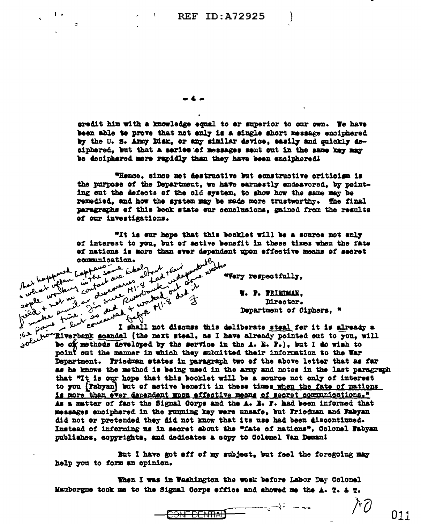**REF ID: A72925** 

-4.

out done

 $\mathbf{L}$ 

 $\mathbf{1}$ 

that people was bapter some

+ not us.

de puis

eredit him with a knowledge equal to er superior to our own. We have been able to prove that not enly is a single short message enciphered by the U.S. Army Disk. or any similar device. easily and guickly deciphered, but that a series of messages sent out in the same key may be deciphered more rapidly than they have been enciphered!

"Hence, since not destructive but sonstructive criticism is the purpose of the Department. we have earnestly endeavored, by pointing out the defects of the old system, to show how the same may be remedied, and how the system may be made more trustworthy. The final paragraphs of this book state our conclusions. gained from the results of our investigations.

red that or the second that or the second that is a second that the second that the second the second the second that is a second that is a second that is a second that is a second that is a second that is a second that is "It is our hope that this booklet will be a source not enly of interest to you, but of active benefit in these times when the fate ef nations is more than ever dependent upon effective means of secret when los it beforement trapper

"Very respectfully,

V. P. FRIEDMAN. Director. Department of Ciphers. "

 $^{\prime \dagger}/\mathcal{E}$ 

011

the scandfor pains  $\frac{1}{2}$  $t^{b-1}$  the "Riverbank scandal (the next steal, as I have already pointed out to you, will govern to be of methods developed by the sew in the interior of  $e^{t}$ I shall not discuss this deliberate steal for it is already a point out the manner in which they submitted their information to the War Department. Friedman states in paragraph two of the above letter that as far as he knows the method is being used in the army and notes in the last paragraph that "It is our hope that this booklet will be a source not only of interest to you (Pabyan) but of active benefit in these times when the fate of nations is more than ever dependent upon effective means of secret communications." As a matter of fact the Signal Corps and the A. B. F. had been informed that messages enciphered in the running key were unsafe, but Friedman and Fabyan did not or pretended they did not know that its use had been discontinued. Instead of informing us in secret about the "fate of nations", Colonel Fabyan publishes, copyrights, and dedicates a copy to Colemel Van Deman!

But I have got off of my subject. but feel the foregoing may help you to form an opinion.

When I was in Washington the week before Labor Day Colonel Mauborgne took me to the Signal Corps effice and showed me the  $\Delta$ . T. & T.

**CONFIDENTIAL**